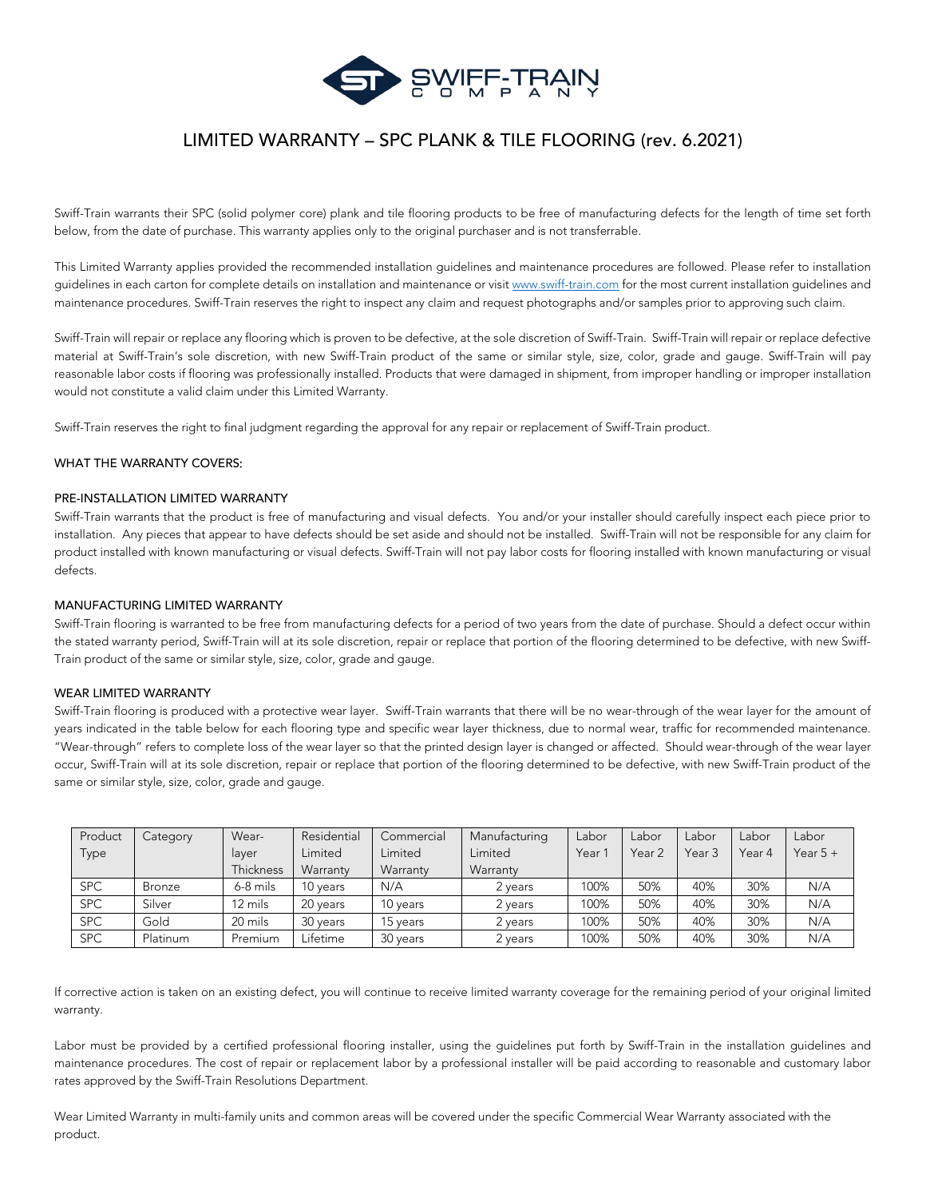

# LIMITED WARRANTY – SPC PLANK & TILE FLOORING (rev. 6.2021)

Swiff-Train warrants their SPC (solid polymer core) plank and tile flooring products to be free of manufacturing defects for the length of time set forth below, from the date of purchase. This warranty applies only to the original purchaser and is not transferrable.

This Limited Warranty applies provided the recommended installation guidelines and maintenance procedures are followed. Please refer to installation guidelines in each carton for complete details on installation and maintenance or visit [www.swiff-train.com](http://www.swiff-train.com/) for the most current installation guidelines and maintenance procedures. Swiff-Train reserves the right to inspect any claim and request photographs and/or samples prior to approving such claim.

Swiff-Train will repair or replace any flooring which is proven to be defective, at the sole discretion of Swiff-Train. Swiff-Train will repair or replace defective material at Swiff-Train's sole discretion, with new Swiff-Train product of the same or similar style, size, color, grade and gauge. Swiff-Train will pay reasonable labor costs if flooring was professionally installed. Products that were damaged in shipment, from improper handling or improper installation would not constitute a valid claim under this Limited Warranty.

Swiff-Train reserves the right to final judgment regarding the approval for any repair or replacement of Swiff-Train product.

### WHAT THE WARRANTY COVERS:

## PRE-INSTALLATION LIMITED WARRANTY

Swiff-Train warrants that the product is free of manufacturing and visual defects. You and/or your installer should carefully inspect each piece prior to installation. Any pieces that appear to have defects should be set aside and should not be installed. Swiff-Train will not be responsible for any claim for product installed with known manufacturing or visual defects. Swiff-Train will not pay labor costs for flooring installed with known manufacturing or visual defects.

#### MANUFACTURING LIMITED WARRANTY

Swiff-Train flooring is warranted to be free from manufacturing defects for a period of two years from the date of purchase. Should a defect occur within the stated warranty period, Swiff-Train will at its sole discretion, repair or replace that portion of the flooring determined to be defective, with new Swiff-Train product of the same or similar style, size, color, grade and gauge.

#### WEAR LIMITED WARRANTY

Swiff-Train flooring is produced with a protective wear layer. Swiff-Train warrants that there will be no wear-through of the wear layer for the amount of years indicated in the table below for each flooring type and specific wear layer thickness, due to normal wear, traffic for recommended maintenance. "Wear-through" refers to complete loss of the wear layer so that the printed design layer is changed or affected. Should wear-through of the wear layer occur, Swiff-Train will at its sole discretion, repair or replace that portion of the flooring determined to be defective, with new Swiff-Train product of the same or similar style, size, color, grade and gauge.

| Product    | Category      | Wear-     | Residential | Commercial | Manufacturing | Labor  | Labor  | Labor  | Labor  | Labor      |
|------------|---------------|-----------|-------------|------------|---------------|--------|--------|--------|--------|------------|
| Type       |               | layer     | Limited     | Limited    | Limited       | Year ' | Year 2 | Year 3 | Year 4 | Year $5 +$ |
|            |               | Thickness | Warranty    | Warranty   | Warranty      |        |        |        |        |            |
| <b>SPC</b> | <b>Bronze</b> | 6-8 mils  | 10 years    | N/A        | 2 vears       | 100%   | 50%    | 40%    | 30%    | N/A        |
| <b>SPC</b> | Silver        | 12 mils   | 20 years    | 10 years   | 2 years       | 100%   | 50%    | 40%    | 30%    | N/A        |
| <b>SPC</b> | Gold          | 20 mils   | 30 years    | 15 years   | 2 years       | 100%   | 50%    | 40%    | 30%    | N/A        |
| <b>SPC</b> | Platinum      | Premium   | Lifetime    | 30 years   | 2 years       | 100%   | 50%    | 40%    | 30%    | N/A        |

If corrective action is taken on an existing defect, you will continue to receive limited warranty coverage for the remaining period of your original limited warranty.

Labor must be provided by a certified professional flooring installer, using the guidelines put forth by Swiff-Train in the installation guidelines and maintenance procedures. The cost of repair or replacement labor by a professional installer will be paid according to reasonable and customary labor rates approved by the Swiff-Train Resolutions Department.

Wear Limited Warranty in multi-family units and common areas will be covered under the specific Commercial Wear Warranty associated with the product.